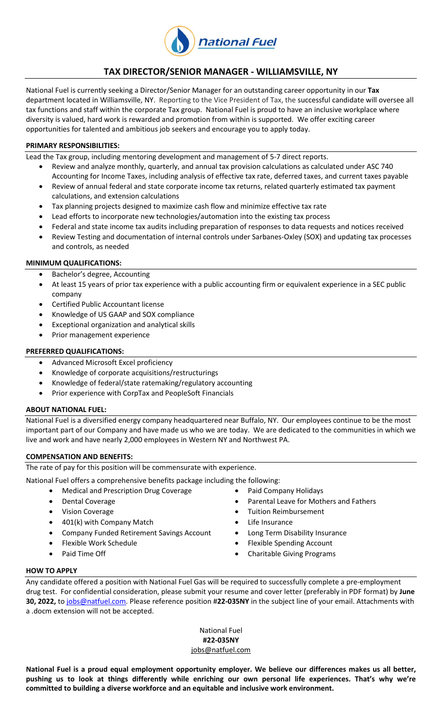

# **TAX DIRECTOR/SENIOR MANAGER - WILLIAMSVILLE, NY**

National Fuel is currently seeking a Director/Senior Manager for an outstanding career opportunity in our **Tax** department located in Williamsville, NY. Reporting to the Vice President of Tax, the successful candidate will oversee all tax functions and staff within the corporate Tax group. National Fuel is proud to have an inclusive workplace where diversity is valued, hard work is rewarded and promotion from within is supported. We offer exciting career opportunities for talented and ambitious job seekers and encourage you to apply today.

## **PRIMARY RESPONSIBILITIES:**

Lead the Tax group, including mentoring development and management of 5-7 direct reports.

- Review and analyze monthly, quarterly, and annual tax provision calculations as calculated under ASC 740 Accounting for Income Taxes, including analysis of effective tax rate, deferred taxes, and current taxes payable
- Review of annual federal and state corporate income tax returns, related quarterly estimated tax payment calculations, and extension calculations
- Tax planning projects designed to maximize cash flow and minimize effective tax rate
- Lead efforts to incorporate new technologies/automation into the existing tax process
- Federal and state income tax audits including preparation of responses to data requests and notices received
- Review Testing and documentation of internal controls under Sarbanes-Oxley (SOX) and updating tax processes and controls, as needed

### **MINIMUM QUALIFICATIONS:**

- Bachelor's degree, Accounting
- At least 15 years of prior tax experience with a public accounting firm or equivalent experience in a SEC public company
- Certified Public Accountant license
- Knowledge of US GAAP and SOX compliance
- Exceptional organization and analytical skills
- Prior management experience

### **PREFERRED QUALIFICATIONS:**

- Advanced Microsoft Excel proficiency
- Knowledge of corporate acquisitions/restructurings
- Knowledge of federal/state ratemaking/regulatory accounting
- Prior experience with CorpTax and PeopleSoft Financials

## **ABOUT NATIONAL FUEL:**

National Fuel is a diversified energy company headquartered near Buffalo, NY. Our employees continue to be the most important part of our Company and have made us who we are today. We are dedicated to the communities in which we live and work and have nearly 2,000 employees in Western NY and Northwest PA.

#### **COMPENSATION AND BENEFITS:**

The rate of pay for this position will be commensurate with experience.

National Fuel offers a comprehensive benefits package including the following:

- Medical and Prescription Drug Coverage **•** Paid Company Holidays
- 
- 
- 401(k) with Company Match **Canadian Company Match Company Match Life Insurance**
- Company Funded Retirement Savings Account **. Long Term Disability Insurance**
- 
- 
- 
- Dental Coverage **Parental Leave for Mothers and Fathers Parental Leave for Mothers and Fathers** 
	- Vision Coverage **Tuition Reimbursement** 
		-
		-
	- Flexible Work Schedule **Flexible Spending Account**
	- Paid Time Off **Charitable Giving Programs**

#### **HOW TO APPLY**

Any candidate offered a position with National Fuel Gas will be required to successfully complete a pre-employment drug test. For confidential consideration, please submit your resume and cover letter (preferably in PDF format) by **June 30, 2022,** to [jobs@natfuel.com.](mailto:jobs@natfuel.com) Please reference position #**22-035NY** in the subject line of your email. Attachments with a .docm extension will not be accepted.

> National Fuel **#22-035NY** [jobs@natfuel.com](mailto:jobs@natfuel.com)

**National Fuel is a proud equal employment opportunity employer. We believe our differences makes us all better, pushing us to look at things differently while enriching our own personal life experiences. That's why we're committed to building a diverse workforce and an equitable and inclusive work environment.** 

- 
- 
- 
- 
- 
-